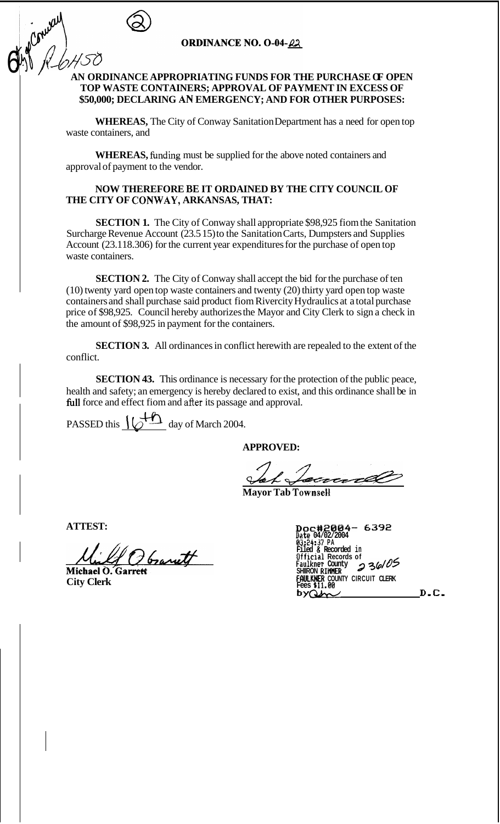

Conver )

## **ORDINANCE NO. O-04-22**

# **AN ORDINANCE APPROPRIATING FUNDS FOR THE PURCHASE OF OPEN TOP WASTE CONTAINERS; APPROVAL OF PAYMENT IN EXCESS OF \$50,000; DECLARING** *AN* **EMERGENCY; AND FOR OTHER PURPOSES:**

**WHEREAS,** The City of Conway Sanitation Department has a need for open top waste containers, and

**WHEREAS,** funding must be supplied for the above noted containers and approval of payment to the vendor.

### **NOW THEREFORE BE IT ORDAINED BY THE CITY COUNCIL OF THE CITY OF CONWAY, ARKANSAS, THAT:**

**SECTION 1.** The City of Conway shall appropriate \$98,925 fiom the Sanitation Surcharge Revenue Account (23.5 15) to the Sanitation Carts, Dumpsters and Supplies Account (23.118.306) for the current year expenditures for the purchase of open top waste containers.

**SECTION 2.** The City of Conway shall accept the bid for the purchase of ten (10) twenty yard open top waste containers and twenty (20) thirty yard open top waste containers and shall purchase said product fiom Rivercity Hydraulics at a total purchase price of \$98,925. Council hereby authorizes the Mayor and City Clerk to sign a check in the amount of \$98,925 in payment for the containers.

**SECTION 3.** All ordinances in conflict herewith are repealed to the extent of the conflict.

**SECTION 43.** This ordinance is necessary for the protection of the public peace, health and safety; an emergency is hereby declared to exist, and this ordinance shall be in full force and effect fiom and after its passage and approval.

PASSED this  $\underline{\bigcup_{\text{max}}$  day of March 2004.

**APPROVED:** 

**Manufactured** 

**ATTEST:** 

Observett

Michael O. Garret **City Clerk** 

| 6392<br>Doc#2004-<br>Date 04/02/2004<br>03:24:37 PA  |      |
|------------------------------------------------------|------|
| Filed & Recorded in<br>Official Records of           |      |
| 236105<br>Faulkner County<br><b>SHIIRON RIMMER</b>   |      |
| <b>FAULKNER COUNTY CIRCUIT CLERK</b><br>Fees \$11.00 |      |
|                                                      | D.C. |